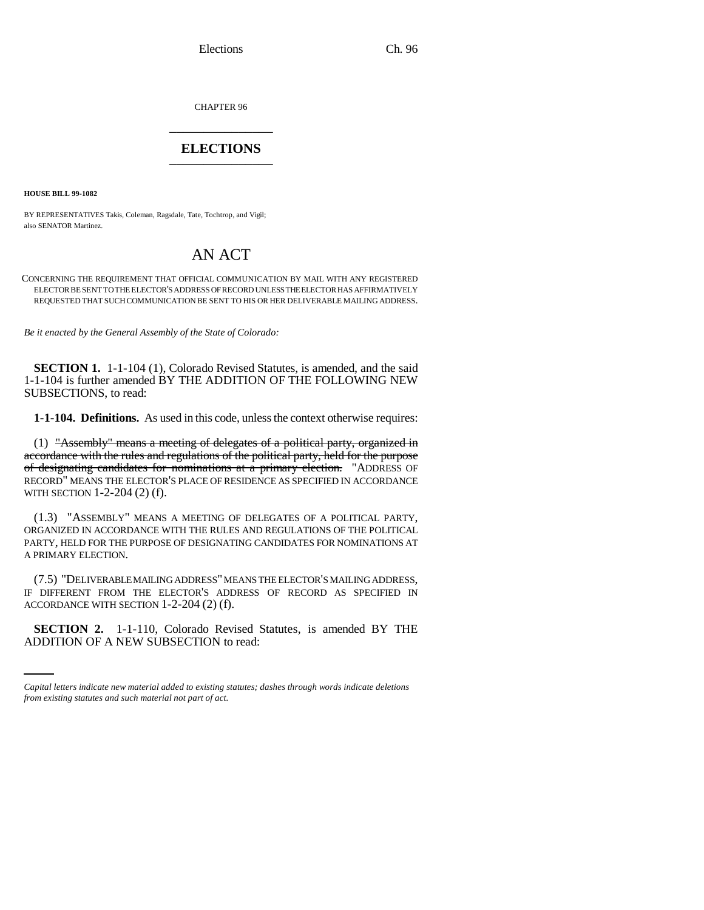Elections Ch. 96

CHAPTER 96 \_\_\_\_\_\_\_\_\_\_\_\_\_\_\_

## **ELECTIONS** \_\_\_\_\_\_\_\_\_\_\_\_\_\_\_

**HOUSE BILL 99-1082** 

BY REPRESENTATIVES Takis, Coleman, Ragsdale, Tate, Tochtrop, and Vigil; also SENATOR Martinez.

## AN ACT

CONCERNING THE REQUIREMENT THAT OFFICIAL COMMUNICATION BY MAIL WITH ANY REGISTERED ELECTOR BE SENT TO THE ELECTOR'S ADDRESS OF RECORD UNLESS THE ELECTOR HAS AFFIRMATIVELY REQUESTED THAT SUCH COMMUNICATION BE SENT TO HIS OR HER DELIVERABLE MAILING ADDRESS.

*Be it enacted by the General Assembly of the State of Colorado:*

**SECTION 1.** 1-1-104 (1), Colorado Revised Statutes, is amended, and the said 1-1-104 is further amended BY THE ADDITION OF THE FOLLOWING NEW SUBSECTIONS, to read:

**1-1-104. Definitions.** As used in this code, unless the context otherwise requires:

(1) "Assembly" means a meeting of delegates of a political party, organized in accordance with the rules and regulations of the political party, held for the purpose of designating candidates for nominations at a primary election. "ADDRESS OF RECORD" MEANS THE ELECTOR'S PLACE OF RESIDENCE AS SPECIFIED IN ACCORDANCE WITH SECTION 1-2-204 (2) (f).

(1.3) "ASSEMBLY" MEANS A MEETING OF DELEGATES OF A POLITICAL PARTY, ORGANIZED IN ACCORDANCE WITH THE RULES AND REGULATIONS OF THE POLITICAL PARTY, HELD FOR THE PURPOSE OF DESIGNATING CANDIDATES FOR NOMINATIONS AT A PRIMARY ELECTION.

ACCORDANCE WITH SECTION 1-2-204 (2) (f). (7.5) "DELIVERABLE MAILING ADDRESS" MEANS THE ELECTOR'S MAILING ADDRESS, IF DIFFERENT FROM THE ELECTOR'S ADDRESS OF RECORD AS SPECIFIED IN

**SECTION 2.** 1-1-110, Colorado Revised Statutes, is amended BY THE ADDITION OF A NEW SUBSECTION to read:

*Capital letters indicate new material added to existing statutes; dashes through words indicate deletions from existing statutes and such material not part of act.*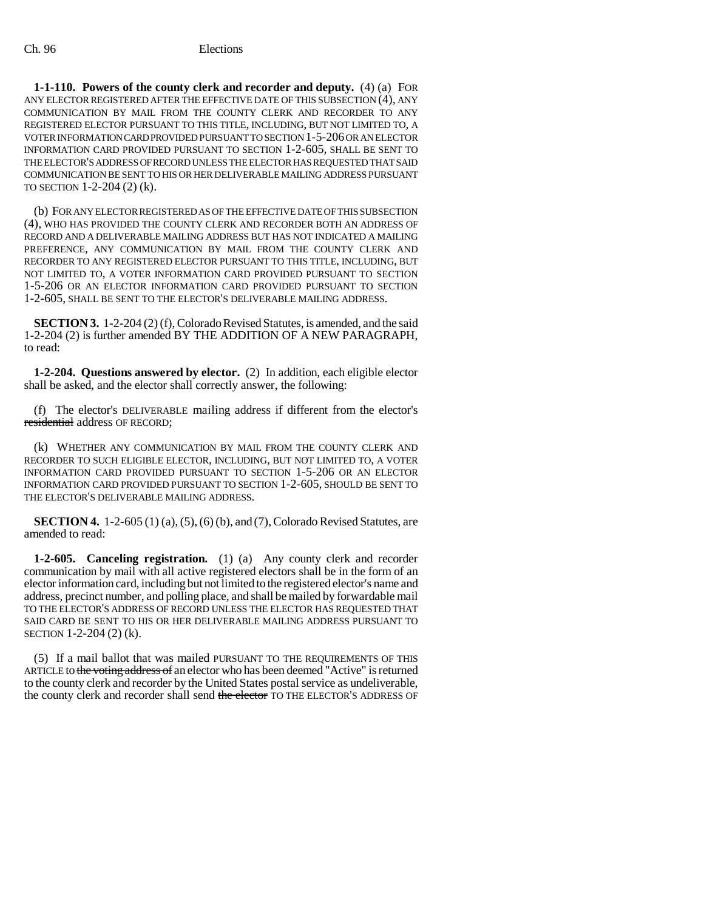**1-1-110. Powers of the county clerk and recorder and deputy.** (4) (a) FOR ANY ELECTOR REGISTERED AFTER THE EFFECTIVE DATE OF THIS SUBSECTION (4), ANY COMMUNICATION BY MAIL FROM THE COUNTY CLERK AND RECORDER TO ANY REGISTERED ELECTOR PURSUANT TO THIS TITLE, INCLUDING, BUT NOT LIMITED TO, A VOTER INFORMATION CARD PROVIDED PURSUANT TO SECTION 1-5-206 OR AN ELECTOR INFORMATION CARD PROVIDED PURSUANT TO SECTION 1-2-605, SHALL BE SENT TO THE ELECTOR'S ADDRESS OF RECORD UNLESS THE ELECTOR HAS REQUESTED THAT SAID COMMUNICATION BE SENT TO HIS OR HER DELIVERABLE MAILING ADDRESS PURSUANT TO SECTION 1-2-204 (2) (k).

(b) FOR ANY ELECTOR REGISTERED AS OF THE EFFECTIVE DATE OF THIS SUBSECTION (4), WHO HAS PROVIDED THE COUNTY CLERK AND RECORDER BOTH AN ADDRESS OF RECORD AND A DELIVERABLE MAILING ADDRESS BUT HAS NOT INDICATED A MAILING PREFERENCE, ANY COMMUNICATION BY MAIL FROM THE COUNTY CLERK AND RECORDER TO ANY REGISTERED ELECTOR PURSUANT TO THIS TITLE, INCLUDING, BUT NOT LIMITED TO, A VOTER INFORMATION CARD PROVIDED PURSUANT TO SECTION 1-5-206 OR AN ELECTOR INFORMATION CARD PROVIDED PURSUANT TO SECTION 1-2-605, SHALL BE SENT TO THE ELECTOR'S DELIVERABLE MAILING ADDRESS.

**SECTION 3.** 1-2-204 (2) (f), Colorado Revised Statutes, is amended, and the said 1-2-204 (2) is further amended BY THE ADDITION OF A NEW PARAGRAPH, to read:

**1-2-204. Questions answered by elector.** (2) In addition, each eligible elector shall be asked, and the elector shall correctly answer, the following:

(f) The elector's DELIVERABLE mailing address if different from the elector's residential address OF RECORD;

(k) WHETHER ANY COMMUNICATION BY MAIL FROM THE COUNTY CLERK AND RECORDER TO SUCH ELIGIBLE ELECTOR, INCLUDING, BUT NOT LIMITED TO, A VOTER INFORMATION CARD PROVIDED PURSUANT TO SECTION 1-5-206 OR AN ELECTOR INFORMATION CARD PROVIDED PURSUANT TO SECTION 1-2-605, SHOULD BE SENT TO THE ELECTOR'S DELIVERABLE MAILING ADDRESS.

**SECTION 4.** 1-2-605 (1) (a), (5), (6) (b), and (7), Colorado Revised Statutes, are amended to read:

**1-2-605. Canceling registration.** (1) (a) Any county clerk and recorder communication by mail with all active registered electors shall be in the form of an elector information card, including but not limited to the registered elector's name and address, precinct number, and polling place, and shall be mailed by forwardable mail TO THE ELECTOR'S ADDRESS OF RECORD UNLESS THE ELECTOR HAS REQUESTED THAT SAID CARD BE SENT TO HIS OR HER DELIVERABLE MAILING ADDRESS PURSUANT TO SECTION 1-2-204 (2) (k).

(5) If a mail ballot that was mailed PURSUANT TO THE REQUIREMENTS OF THIS ARTICLE to the voting address of an elector who has been deemed "Active" is returned to the county clerk and recorder by the United States postal service as undeliverable, the county clerk and recorder shall send the elector TO THE ELECTOR'S ADDRESS OF